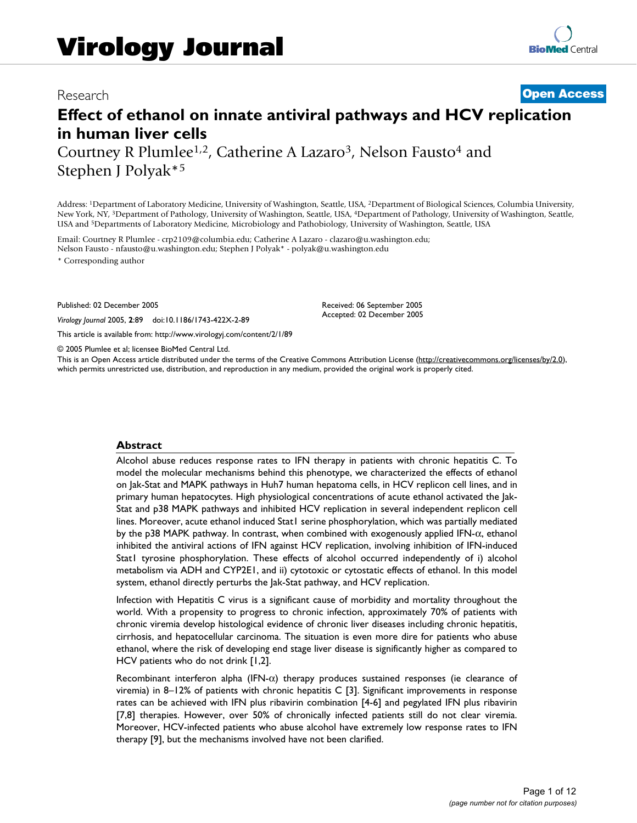# Research **[Open Access](http://www.biomedcentral.com/info/about/charter/)**

# **Effect of ethanol on innate antiviral pathways and HCV replication in human liver cells**

Courtney R Plumlee<sup>1,2</sup>, Catherine A Lazaro<sup>3</sup>, Nelson Fausto<sup>4</sup> and Stephen J Polyak\*5

Address: 1Department of Laboratory Medicine, University of Washington, Seattle, USA, 2Department of Biological Sciences, Columbia University, New York, NY, 3Department of Pathology, University of Washington, Seattle, USA, 4Department of Pathology, University of Washington, Seattle, USA and 5Departments of Laboratory Medicine, Microbiology and Pathobiology, University of Washington, Seattle, USA

Email: Courtney R Plumlee - crp2109@columbia.edu; Catherine A Lazaro - clazaro@u.washington.edu; Nelson Fausto - nfausto@u.washington.edu; Stephen J Polyak\* - polyak@u.washington.edu

\* Corresponding author

Published: 02 December 2005

*Virology Journal* 2005, **2**:89 doi:10.1186/1743-422X-2-89

[This article is available from: http://www.virologyj.com/content/2/1/89](http://www.virologyj.com/content/2/1/89)

© 2005 Plumlee et al; licensee BioMed Central Ltd.

This is an Open Access article distributed under the terms of the Creative Commons Attribution License [\(http://creativecommons.org/licenses/by/2.0\)](http://creativecommons.org/licenses/by/2.0), which permits unrestricted use, distribution, and reproduction in any medium, provided the original work is properly cited.

Received: 06 September 2005 Accepted: 02 December 2005

## **Abstract**

Alcohol abuse reduces response rates to IFN therapy in patients with chronic hepatitis C. To model the molecular mechanisms behind this phenotype, we characterized the effects of ethanol on Jak-Stat and MAPK pathways in Huh7 human hepatoma cells, in HCV replicon cell lines, and in primary human hepatocytes. High physiological concentrations of acute ethanol activated the Jak-Stat and p38 MAPK pathways and inhibited HCV replication in several independent replicon cell lines. Moreover, acute ethanol induced Stat1 serine phosphorylation, which was partially mediated by the p38 MAPK pathway. In contrast, when combined with exogenously applied IFN-α, ethanol inhibited the antiviral actions of IFN against HCV replication, involving inhibition of IFN-induced Stat1 tyrosine phosphorylation. These effects of alcohol occurred independently of i) alcohol metabolism via ADH and CYP2E1, and ii) cytotoxic or cytostatic effects of ethanol. In this model system, ethanol directly perturbs the Jak-Stat pathway, and HCV replication.

Infection with Hepatitis C virus is a significant cause of morbidity and mortality throughout the world. With a propensity to progress to chronic infection, approximately 70% of patients with chronic viremia develop histological evidence of chronic liver diseases including chronic hepatitis, cirrhosis, and hepatocellular carcinoma. The situation is even more dire for patients who abuse ethanol, where the risk of developing end stage liver disease is significantly higher as compared to HCV patients who do not drink [1,2].

Recombinant interferon alpha (IFN-α) therapy produces sustained responses (ie clearance of viremia) in 8–12% of patients with chronic hepatitis C [3]. Significant improvements in response rates can be achieved with IFN plus ribavirin combination [4-6] and pegylated IFN plus ribavirin [7,8] therapies. However, over 50% of chronically infected patients still do not clear viremia. Moreover, HCV-infected patients who abuse alcohol have extremely low response rates to IFN therapy [9], but the mechanisms involved have not been clarified.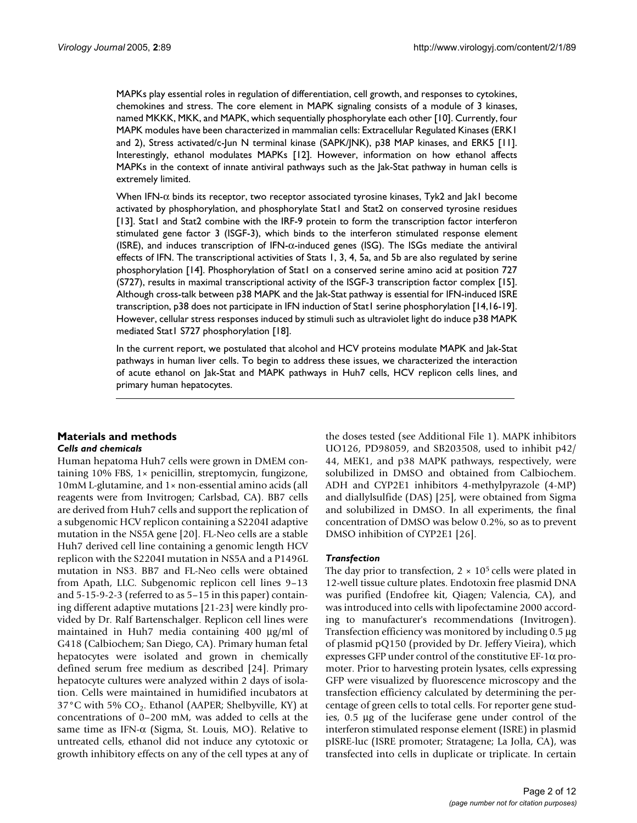MAPKs play essential roles in regulation of differentiation, cell growth, and responses to cytokines, chemokines and stress. The core element in MAPK signaling consists of a module of 3 kinases, named MKKK, MKK, and MAPK, which sequentially phosphorylate each other [10]. Currently, four MAPK modules have been characterized in mammalian cells: Extracellular Regulated Kinases (ERK1 and 2), Stress activated/c-Jun N terminal kinase (SAPK/JNK), p38 MAP kinases, and ERK5 [11]. Interestingly, ethanol modulates MAPKs [12]. However, information on how ethanol affects MAPKs in the context of innate antiviral pathways such as the Jak-Stat pathway in human cells is extremely limited.

When IFN- $\alpha$  binds its receptor, two receptor associated tyrosine kinases, Tyk2 and Jak1 become activated by phosphorylation, and phosphorylate Stat1 and Stat2 on conserved tyrosine residues [13]. Stat1 and Stat2 combine with the IRF-9 protein to form the transcription factor interferon stimulated gene factor 3 (ISGF-3), which binds to the interferon stimulated response element (ISRE), and induces transcription of IFN-α-induced genes (ISG). The ISGs mediate the antiviral effects of IFN. The transcriptional activities of Stats 1, 3, 4, 5a, and 5b are also regulated by serine phosphorylation [14]. Phosphorylation of Stat1 on a conserved serine amino acid at position 727 (S727), results in maximal transcriptional activity of the ISGF-3 transcription factor complex [15]. Although cross-talk between p38 MAPK and the Jak-Stat pathway is essential for IFN-induced ISRE transcription, p38 does not participate in IFN induction of Stat1 serine phosphorylation [14,16-19]. However, cellular stress responses induced by stimuli such as ultraviolet light do induce p38 MAPK mediated Stat1 S727 phosphorylation [18].

In the current report, we postulated that alcohol and HCV proteins modulate MAPK and Jak-Stat pathways in human liver cells. To begin to address these issues, we characterized the interaction of acute ethanol on Jak-Stat and MAPK pathways in Huh7 cells, HCV replicon cells lines, and primary human hepatocytes.

## **Materials and methods** *Cells and chemicals*

Human hepatoma Huh7 cells were grown in DMEM containing 10% FBS, 1× penicillin, streptomycin, fungizone, 10mM L-glutamine, and 1× non-essential amino acids (all reagents were from Invitrogen; Carlsbad, CA). BB7 cells are derived from Huh7 cells and support the replication of a subgenomic HCV replicon containing a S2204I adaptive mutation in the NS5A gene [20]. FL-Neo cells are a stable Huh7 derived cell line containing a genomic length HCV replicon with the S2204I mutation in NS5A and a P1496L mutation in NS3. BB7 and FL-Neo cells were obtained from Apath, LLC. Subgenomic replicon cell lines 9–13 and 5-15-9-2-3 (referred to as 5–15 in this paper) containing different adaptive mutations [21-23] were kindly provided by Dr. Ralf Bartenschalger. Replicon cell lines were maintained in Huh7 media containing 400 µg/ml of G418 (Calbiochem; San Diego, CA). Primary human fetal hepatocytes were isolated and grown in chemically defined serum free medium as described [24]. Primary hepatocyte cultures were analyzed within 2 days of isolation. Cells were maintained in humidified incubators at 37°C with 5%  $CO<sub>2</sub>$ . Ethanol (AAPER; Shelbyville, KY) at concentrations of 0–200 mM, was added to cells at the same time as IFN-α (Sigma, St. Louis, MO). Relative to untreated cells, ethanol did not induce any cytotoxic or growth inhibitory effects on any of the cell types at any of the doses tested (see Additional File 1). MAPK inhibitors UO126, PD98059, and SB203508, used to inhibit p42/ 44, MEK1, and p38 MAPK pathways, respectively, were solubilized in DMSO and obtained from Calbiochem. ADH and CYP2E1 inhibitors 4-methylpyrazole (4-MP) and diallylsulfide (DAS) [25], were obtained from Sigma and solubilized in DMSO. In all experiments, the final concentration of DMSO was below 0.2%, so as to prevent DMSO inhibition of CYP2E1 [26].

## *Transfection*

The day prior to transfection,  $2 \times 10^5$  cells were plated in 12-well tissue culture plates. Endotoxin free plasmid DNA was purified (Endofree kit, Qiagen; Valencia, CA), and was introduced into cells with lipofectamine 2000 according to manufacturer's recommendations (Invitrogen). Transfection efficiency was monitored by including 0.5 µg of plasmid pQ150 (provided by Dr. Jeffery Vieira), which expresses GFP under control of the constitutive EF-1α promoter. Prior to harvesting protein lysates, cells expressing GFP were visualized by fluorescence microscopy and the transfection efficiency calculated by determining the percentage of green cells to total cells. For reporter gene studies, 0.5 µg of the luciferase gene under control of the interferon stimulated response element (ISRE) in plasmid pISRE-luc (ISRE promoter; Stratagene; La Jolla, CA), was transfected into cells in duplicate or triplicate. In certain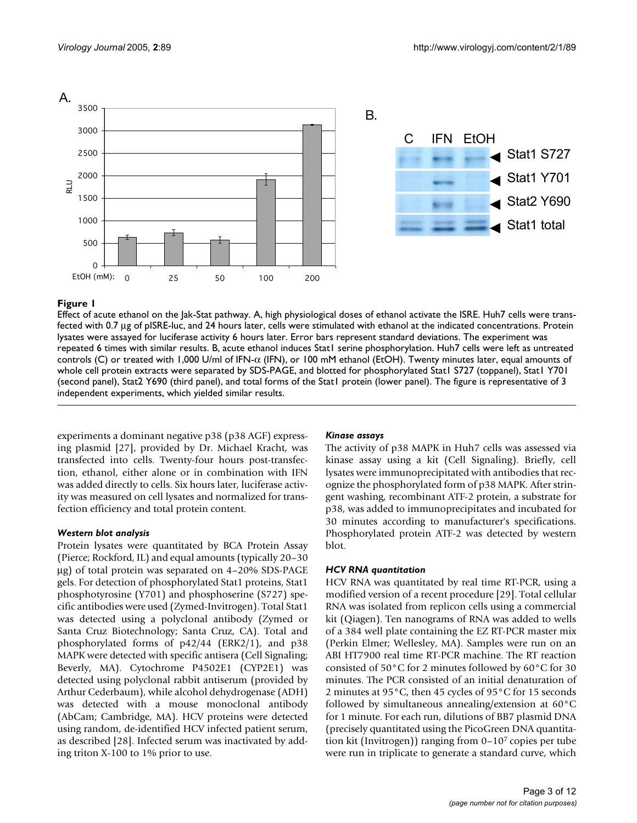

Effect of acute ethanol on the Jak-Stat pathway. A, high physiological doses of ethanol activate the ISRE. Huh7 cells were transfected with 0.7 µg of pISRE-luc, and 24 hours later, cells were stimulated with ethanol at the indicated concentrations. Protein lysates were assayed for luciferase activity 6 hours later. Error bars represent standard deviations. The experiment was repeated 6 times with similar results. B, acute ethanol induces Stat1 serine phosphorylation. Huh7 cells were left as untreated controls (C) or treated with 1,000 U/ml of IFN-α (IFN), or 100 mM ethanol (EtOH). Twenty minutes later, equal amounts of whole cell protein extracts were separated by SDS-PAGE, and blotted for phosphorylated Stat1 S727 (toppanel), Stat1 Y701 (second panel), Stat2 Y690 (third panel), and total forms of the Stat1 protein (lower panel). The figure is representative of 3 independent experiments, which yielded similar results.

experiments a dominant negative p38 (p38 AGF) expressing plasmid [27], provided by Dr. Michael Kracht, was transfected into cells. Twenty-four hours post-transfection, ethanol, either alone or in combination with IFN was added directly to cells. Six hours later, luciferase activity was measured on cell lysates and normalized for transfection efficiency and total protein content.

## *Western blot analysis*

Protein lysates were quantitated by BCA Protein Assay (Pierce; Rockford, IL) and equal amounts (typically 20–30 µg) of total protein was separated on 4–20% SDS-PAGE gels. For detection of phosphorylated Stat1 proteins, Stat1 phosphotyrosine (Y701) and phosphoserine (S727) specific antibodies were used (Zymed-Invitrogen). Total Stat1 was detected using a polyclonal antibody (Zymed or Santa Cruz Biotechnology; Santa Cruz, CA). Total and phosphorylated forms of p42/44 (ERK2/1), and p38 MAPK were detected with specific antisera (Cell Signaling; Beverly, MA). Cytochrome P4502E1 (CYP2E1) was detected using polyclonal rabbit antiserum (provided by Arthur Cederbaum), while alcohol dehydrogenase (ADH) was detected with a mouse monoclonal antibody (AbCam; Cambridge, MA). HCV proteins were detected using random, de-identified HCV infected patient serum, as described [28]. Infected serum was inactivated by adding triton X-100 to 1% prior to use.

## *Kinase assays*

The activity of p38 MAPK in Huh7 cells was assessed via kinase assay using a kit (Cell Signaling). Briefly, cell lysates were immunoprecipitated with antibodies that recognize the phosphorylated form of p38 MAPK. After stringent washing, recombinant ATF-2 protein, a substrate for p38, was added to immunoprecipitates and incubated for 30 minutes according to manufacturer's specifications. Phosphorylated protein ATF-2 was detected by western blot.

## *HCV RNA quantitation*

HCV RNA was quantitated by real time RT-PCR, using a modified version of a recent procedure [29]. Total cellular RNA was isolated from replicon cells using a commercial kit (Qiagen). Ten nanograms of RNA was added to wells of a 384 well plate containing the EZ RT-PCR master mix (Perkin Elmer; Wellesley, MA). Samples were run on an ABI HT7900 real time RT-PCR machine. The RT reaction consisted of 50°C for 2 minutes followed by 60°C for 30 minutes. The PCR consisted of an initial denaturation of 2 minutes at 95°C, then 45 cycles of 95°C for 15 seconds followed by simultaneous annealing/extension at 60°C for 1 minute. For each run, dilutions of BB7 plasmid DNA (precisely quantitated using the PicoGreen DNA quantitation kit (Invitrogen)) ranging from 0–107 copies per tube were run in triplicate to generate a standard curve, which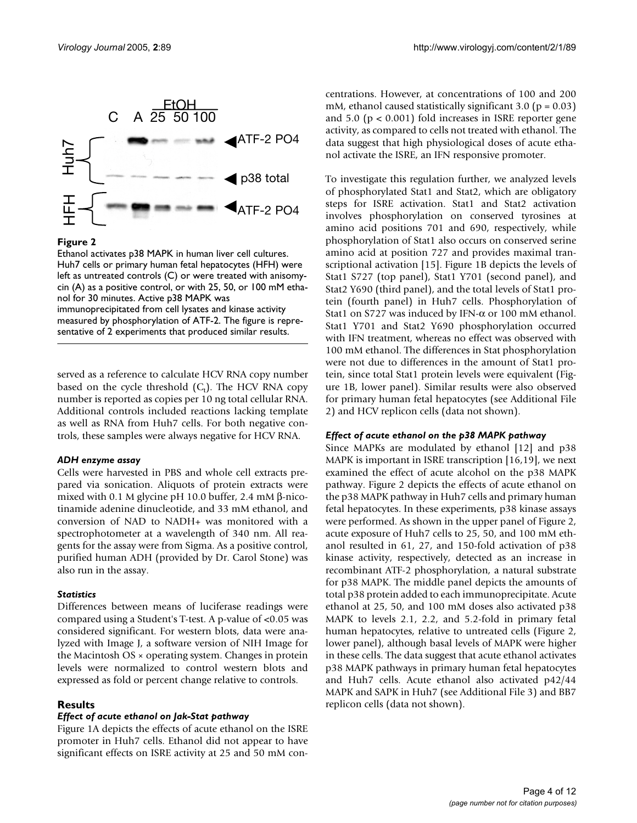

Ethanol activates p38 MAPK in human liver cell cultures. Huh7 cells or primary human fetal hepatocytes (HFH) were left as untreated controls (C) or were treated with anisomycin (A) as a positive control, or with 25, 50, or 100 mM ethanol for 30 minutes. Active p38 MAPK was immunoprecipitated from cell lysates and kinase activity measured by phosphorylation of ATF-2. The figure is representative of 2 experiments that produced similar results.

served as a reference to calculate HCV RNA copy number based on the cycle threshold  $(C_t)$ . The HCV RNA copy number is reported as copies per 10 ng total cellular RNA. Additional controls included reactions lacking template as well as RNA from Huh7 cells. For both negative controls, these samples were always negative for HCV RNA.

## *ADH enzyme assay*

Cells were harvested in PBS and whole cell extracts prepared via sonication. Aliquots of protein extracts were mixed with 0.1 M glycine pH 10.0 buffer, 2.4 mM β-nicotinamide adenine dinucleotide, and 33 mM ethanol, and conversion of NAD to NADH+ was monitored with a spectrophotometer at a wavelength of 340 nm. All reagents for the assay were from Sigma. As a positive control, purified human ADH (provided by Dr. Carol Stone) was also run in the assay.

## *Statistics*

Differences between means of luciferase readings were compared using a Student's T-test. A p-value of <0.05 was considered significant. For western blots, data were analyzed with Image J, a software version of NIH Image for the Macintosh OS × operating system. Changes in protein levels were normalized to control western blots and expressed as fold or percent change relative to controls.

## **Results**

## *Effect of acute ethanol on Jak-Stat pathway*

Figure 1A depicts the effects of acute ethanol on the ISRE promoter in Huh7 cells. Ethanol did not appear to have significant effects on ISRE activity at 25 and 50 mM concentrations. However, at concentrations of 100 and 200 mM, ethanol caused statistically significant 3.0 ( $p = 0.03$ ) and  $5.0$  ( $p < 0.001$ ) fold increases in ISRE reporter gene activity, as compared to cells not treated with ethanol. The data suggest that high physiological doses of acute ethanol activate the ISRE, an IFN responsive promoter.

To investigate this regulation further, we analyzed levels of phosphorylated Stat1 and Stat2, which are obligatory steps for ISRE activation. Stat1 and Stat2 activation involves phosphorylation on conserved tyrosines at amino acid positions 701 and 690, respectively, while phosphorylation of Stat1 also occurs on conserved serine amino acid at position 727 and provides maximal transcriptional activation [15]. Figure 1B depicts the levels of Stat1 S727 (top panel), Stat1 Y701 (second panel), and Stat2 Y690 (third panel), and the total levels of Stat1 protein (fourth panel) in Huh7 cells. Phosphorylation of Stat1 on S727 was induced by IFN-α or 100 mM ethanol. Stat1 Y701 and Stat2 Y690 phosphorylation occurred with IFN treatment, whereas no effect was observed with 100 mM ethanol. The differences in Stat phosphorylation were not due to differences in the amount of Stat1 protein, since total Stat1 protein levels were equivalent (Figure 1B, lower panel). Similar results were also observed for primary human fetal hepatocytes (see Additional File 2) and HCV replicon cells (data not shown).

## *Effect of acute ethanol on the p38 MAPK pathway*

Since MAPKs are modulated by ethanol [12] and p38 MAPK is important in ISRE transcription [16,19], we next examined the effect of acute alcohol on the p38 MAPK pathway. Figure 2 depicts the effects of acute ethanol on the p38 MAPK pathway in Huh7 cells and primary human fetal hepatocytes. In these experiments, p38 kinase assays were performed. As shown in the upper panel of Figure 2, acute exposure of Huh7 cells to 25, 50, and 100 mM ethanol resulted in 61, 27, and 150-fold activation of p38 kinase activity, respectively, detected as an increase in recombinant ATF-2 phosphorylation, a natural substrate for p38 MAPK. The middle panel depicts the amounts of total p38 protein added to each immunoprecipitate. Acute ethanol at 25, 50, and 100 mM doses also activated p38 MAPK to levels 2.1, 2.2, and 5.2-fold in primary fetal human hepatocytes, relative to untreated cells (Figure 2, lower panel), although basal levels of MAPK were higher in these cells. The data suggest that acute ethanol activates p38 MAPK pathways in primary human fetal hepatocytes and Huh7 cells. Acute ethanol also activated p42/44 MAPK and SAPK in Huh7 (see Additional File 3) and BB7 replicon cells (data not shown).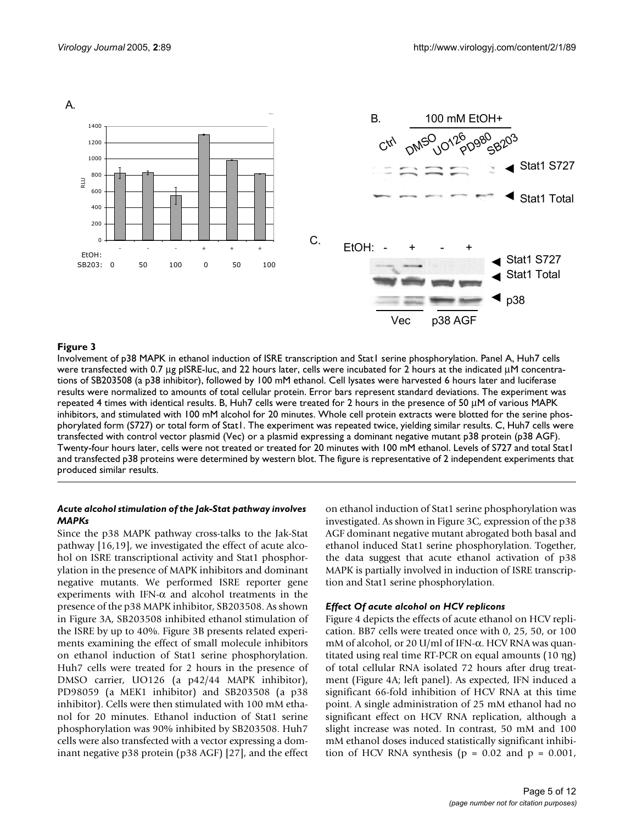

## **Figure 3** Involvement of p388 MAPK induction of ISRE transcription of ISRE transcription and State1 series phosphorylation of ISRE transcription and State1 series and State1 series and State1 series and State1 series and

Involvement of p38 MAPK in ethanol induction of ISRE transcription and Stat1 serine phosphorylation. Panel A, Huh7 cells were transfected with 0.7 µg pISRE-luc, and 22 hours later, cells were incubated for 2 hours at the indicated µM concentrations of SB203508 (a p38 inhibitor), followed by 100 mM ethanol. Cell lysates were harvested 6 hours later and luciferase results were normalized to amounts of total cellular protein. Error bars represent standard deviations. The experiment was repeated 4 times with identical results. B, Huh7 cells were treated for 2 hours in the presence of 50 µM of various MAPK inhibitors, and stimulated with 100 mM alcohol for 20 minutes. Whole cell protein extracts were blotted for the serine phosphorylated form (S727) or total form of Stat1. The experiment was repeated twice, yielding similar results. C, Huh7 cells were transfected with control vector plasmid (Vec) or a plasmid expressing a dominant negative mutant p38 protein (p38 AGF). Twenty-four hours later, cells were not treated or treated for 20 minutes with 100 mM ethanol. Levels of S727 and total Stat1 and transfected p38 proteins were determined by western blot. The figure is representative of 2 independent experiments that produced similar results.

## *Acute alcohol stimulation of the Jak-Stat pathway involves MAPKs*

Since the p38 MAPK pathway cross-talks to the Jak-Stat pathway [16,19], we investigated the effect of acute alcohol on ISRE transcriptional activity and Stat1 phosphorylation in the presence of MAPK inhibitors and dominant negative mutants. We performed ISRE reporter gene experiments with IFN- $\alpha$  and alcohol treatments in the presence of the p38 MAPK inhibitor, SB203508. As shown in Figure 3A, SB203508 inhibited ethanol stimulation of the ISRE by up to 40%. Figure 3B presents related experiments examining the effect of small molecule inhibitors on ethanol induction of Stat1 serine phosphorylation. Huh7 cells were treated for 2 hours in the presence of DMSO carrier, UO126 (a p42/44 MAPK inhibitor), PD98059 (a MEK1 inhibitor) and SB203508 (a p38 inhibitor). Cells were then stimulated with 100 mM ethanol for 20 minutes. Ethanol induction of Stat1 serine phosphorylation was 90% inhibited by SB203508. Huh7 cells were also transfected with a vector expressing a dominant negative p38 protein (p38 AGF) [27], and the effect

on ethanol induction of Stat1 serine phosphorylation was investigated. As shown in Figure 3C, expression of the p38 AGF dominant negative mutant abrogated both basal and ethanol induced Stat1 serine phosphorylation. Together, the data suggest that acute ethanol activation of p38 MAPK is partially involved in induction of ISRE transcription and Stat1 serine phosphorylation.

## *Effect Of acute alcohol on HCV replicons*

Figure 4 depicts the effects of acute ethanol on HCV replication. BB7 cells were treated once with 0, 25, 50, or 100 mM of alcohol, or 20 U/ml of IFN-α. HCV RNA was quantitated using real time RT-PCR on equal amounts (10 ηg) of total cellular RNA isolated 72 hours after drug treatment (Figure 4A; left panel). As expected, IFN induced a significant 66-fold inhibition of HCV RNA at this time point. A single administration of 25 mM ethanol had no significant effect on HCV RNA replication, although a slight increase was noted. In contrast, 50 mM and 100 mM ethanol doses induced statistically significant inhibition of HCV RNA synthesis ( $p = 0.02$  and  $p = 0.001$ ,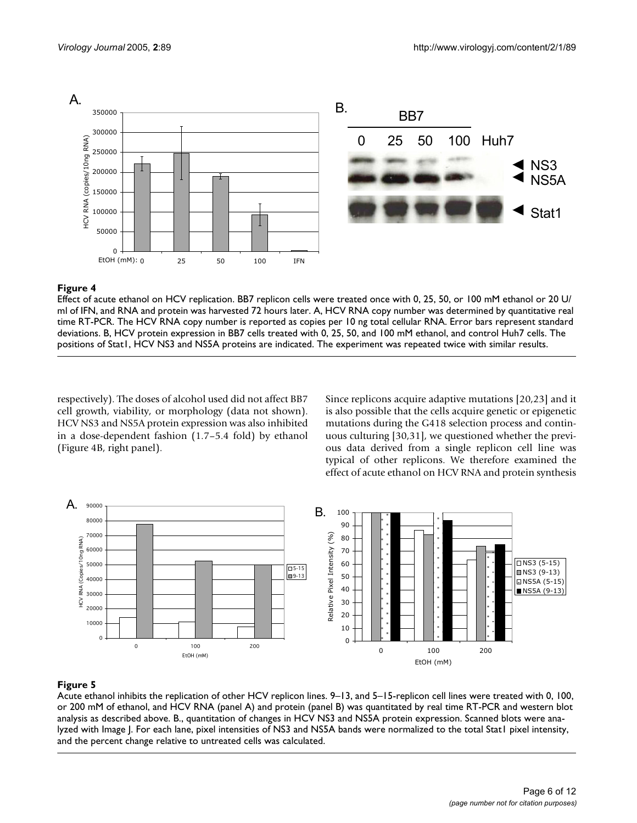

Effect of acute ethanol on HCV replication. BB7 replicon cells were treated once with 0, 25, 50, or 100 mM ethanol or 20 U/ ml of IFN, and RNA and protein was harvested 72 hours later. A, HCV RNA copy number was determined by quantitative real time RT-PCR. The HCV RNA copy number is reported as copies per 10 ng total cellular RNA. Error bars represent standard deviations. B, HCV protein expression in BB7 cells treated with 0, 25, 50, and 100 mM ethanol, and control Huh7 cells. The positions of Stat1, HCV NS3 and NS5A proteins are indicated. The experiment was repeated twice with similar results.

respectively). The doses of alcohol used did not affect BB7 cell growth, viability, or morphology (data not shown). HCV NS3 and NS5A protein expression was also inhibited in a dose-dependent fashion (1.7–5.4 fold) by ethanol (Figure 4B, right panel).

Since replicons acquire adaptive mutations [20,23] and it is also possible that the cells acquire genetic or epigenetic mutations during the G418 selection process and continuous culturing [30,31], we questioned whether the previous data derived from a single replicon cell line was typical of other replicons. We therefore examined the effect of acute ethanol on HCV RNA and protein synthesis



# Figure 5

Acute ethanol inhibits the replication of other HCV replicon lines. 9–13, and 5–15-replicon cell lines were treated with 0, 100, or 200 mM of ethanol, and HCV RNA (panel A) and protein (panel B) was quantitated by real time RT-PCR and western blot analysis as described above. B., quantitation of changes in HCV NS3 and NS5A protein expression. Scanned blots were analyzed with Image J. For each lane, pixel intensities of NS3 and NS5A bands were normalized to the total Stat1 pixel intensity, and the percent change relative to untreated cells was calculated.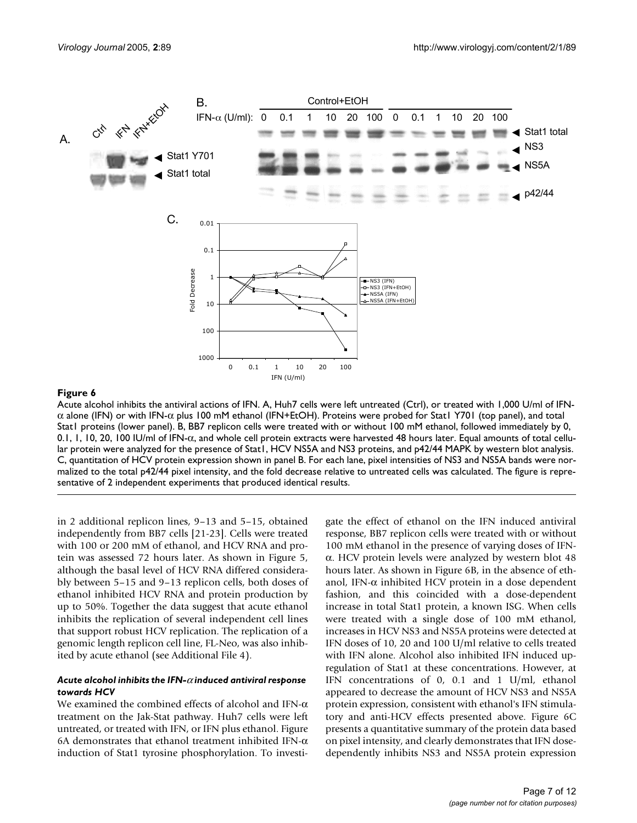

Acute alcohol inhibits the antiviral actions of IFN. A, Huh7 cells were left untreated (Ctrl), or treated with 1,000 U/ml of IFNα alone (IFN) or with IFN-α plus 100 mM ethanol (IFN+EtOH). Proteins were probed for Stat1 Y701 (top panel), and total Stat1 proteins (lower panel). B, BB7 replicon cells were treated with or without 100 mM ethanol, followed immediately by 0, 0.1, 1, 10, 20, 100 IU/ml of IFN-α, and whole cell protein extracts were harvested 48 hours later. Equal amounts of total cellular protein were analyzed for the presence of Stat1, HCV NS5A and NS3 proteins, and p42/44 MAPK by western blot analysis. C, quantitation of HCV protein expression shown in panel B. For each lane, pixel intensities of NS3 and NS5A bands were normalized to the total p42/44 pixel intensity, and the fold decrease relative to untreated cells was calculated. The figure is representative of 2 independent experiments that produced identical results.

in 2 additional replicon lines, 9–13 and 5–15, obtained independently from BB7 cells [21-23]. Cells were treated with 100 or 200 mM of ethanol, and HCV RNA and protein was assessed 72 hours later. As shown in Figure 5, although the basal level of HCV RNA differed considerably between 5–15 and 9–13 replicon cells, both doses of ethanol inhibited HCV RNA and protein production by up to 50%. Together the data suggest that acute ethanol inhibits the replication of several independent cell lines that support robust HCV replication. The replication of a genomic length replicon cell line, FL-Neo, was also inhibited by acute ethanol (see Additional File 4).

## *Acute alcohol inhibits the IFN-*α *induced antiviral response towards HCV*

We examined the combined effects of alcohol and IFN-α treatment on the Jak-Stat pathway. Huh7 cells were left untreated, or treated with IFN, or IFN plus ethanol. Figure 6A demonstrates that ethanol treatment inhibited IFN- $\alpha$ induction of Stat1 tyrosine phosphorylation. To investigate the effect of ethanol on the IFN induced antiviral response, BB7 replicon cells were treated with or without 100 mM ethanol in the presence of varying doses of IFNα. HCV protein levels were analyzed by western blot 48 hours later. As shown in Figure 6B, in the absence of ethanol, IFN-α inhibited HCV protein in a dose dependent fashion, and this coincided with a dose-dependent increase in total Stat1 protein, a known ISG. When cells were treated with a single dose of 100 mM ethanol, increases in HCV NS3 and NS5A proteins were detected at IFN doses of 10, 20 and 100 U/ml relative to cells treated with IFN alone. Alcohol also inhibited IFN induced upregulation of Stat1 at these concentrations. However, at IFN concentrations of 0, 0.1 and 1 U/ml, ethanol appeared to decrease the amount of HCV NS3 and NS5A protein expression, consistent with ethanol's IFN stimulatory and anti-HCV effects presented above. Figure 6C presents a quantitative summary of the protein data based on pixel intensity, and clearly demonstrates that IFN dosedependently inhibits NS3 and NS5A protein expression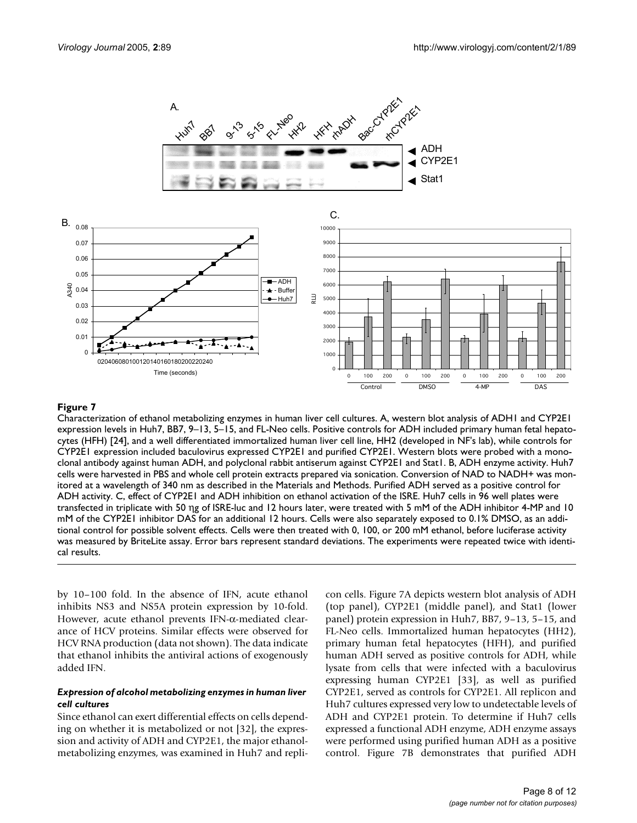

Characterization of ethanol metabolizing enzymes in human liver cell cultures. A, western blot analysis of ADH1 and CYP2E1 expression levels in Huh7, BB7, 9–13, 5–15, and FL-Neo cells. Positive controls for ADH included primary human fetal hepatocytes (HFH) [24], and a well differentiated immortalized human liver cell line, HH2 (developed in NF's lab), while controls for CYP2E1 expression included baculovirus expressed CYP2E1 and purified CYP2E1. Western blots were probed with a monoclonal antibody against human ADH, and polyclonal rabbit antiserum against CYP2E1 and Stat1. B, ADH enzyme activity. Huh7 cells were harvested in PBS and whole cell protein extracts prepared via sonication. Conversion of NAD to NADH+ was monitored at a wavelength of 340 nm as described in the Materials and Methods. Purified ADH served as a positive control for ADH activity. C, effect of CYP2E1 and ADH inhibition on ethanol activation of the ISRE. Huh7 cells in 96 well plates were transfected in triplicate with 50 ηg of ISRE-luc and 12 hours later, were treated with 5 mM of the ADH inhibitor 4-MP and 10 mM of the CYP2E1 inhibitor DAS for an additional 12 hours. Cells were also separately exposed to 0.1% DMSO, as an additional control for possible solvent effects. Cells were then treated with 0, 100, or 200 mM ethanol, before luciferase activity was measured by BriteLite assay. Error bars represent standard deviations. The experiments were repeated twice with identical results.

by 10–100 fold. In the absence of IFN, acute ethanol inhibits NS3 and NS5A protein expression by 10-fold. However, acute ethanol prevents IFN-α-mediated clearance of HCV proteins. Similar effects were observed for HCV RNA production (data not shown). The data indicate that ethanol inhibits the antiviral actions of exogenously added IFN.

## *Expression of alcohol metabolizing enzymes in human liver cell cultures*

Since ethanol can exert differential effects on cells depending on whether it is metabolized or not [32], the expression and activity of ADH and CYP2E1, the major ethanolmetabolizing enzymes, was examined in Huh7 and replicon cells. Figure 7A depicts western blot analysis of ADH (top panel), CYP2E1 (middle panel), and Stat1 (lower panel) protein expression in Huh7, BB7, 9–13, 5–15, and FL-Neo cells. Immortalized human hepatocytes (HH2), primary human fetal hepatocytes (HFH), and purified human ADH served as positive controls for ADH, while lysate from cells that were infected with a baculovirus expressing human CYP2E1 [33], as well as purified CYP2E1, served as controls for CYP2E1. All replicon and Huh7 cultures expressed very low to undetectable levels of ADH and CYP2E1 protein. To determine if Huh7 cells expressed a functional ADH enzyme, ADH enzyme assays were performed using purified human ADH as a positive control. Figure 7B demonstrates that purified ADH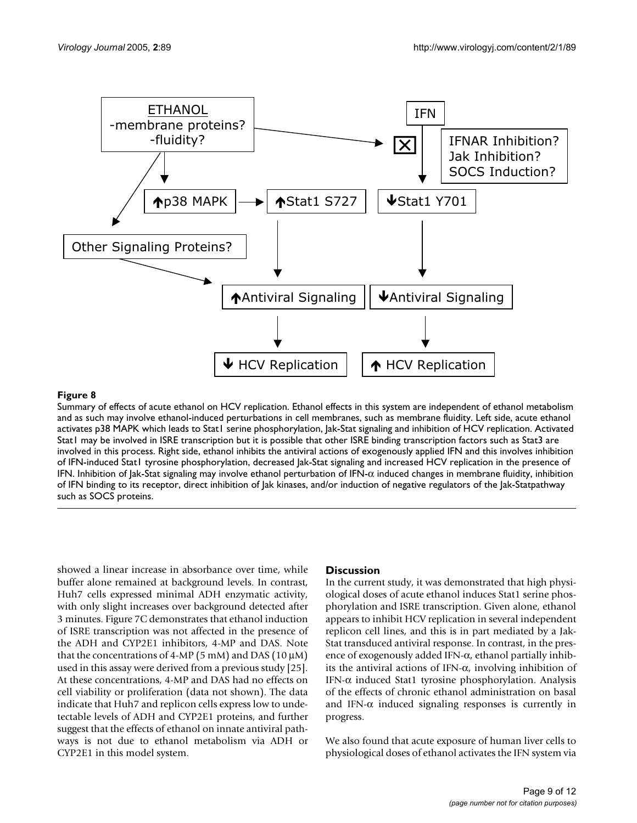

Summary of effects of acute ethanol on HCV replication. Ethanol effects in this system are independent of ethanol metabolism and as such may involve ethanol-induced perturbations in cell membranes, such as membrane fluidity. Left side, acute ethanol activates p38 MAPK which leads to Stat1 serine phosphorylation, Jak-Stat signaling and inhibition of HCV replication. Activated Stat1 may be involved in ISRE transcription but it is possible that other ISRE binding transcription factors such as Stat3 are involved in this process. Right side, ethanol inhibits the antiviral actions of exogenously applied IFN and this involves inhibition of IFN-induced Stat1 tyrosine phosphorylation, decreased Jak-Stat signaling and increased HCV replication in the presence of IFN. Inhibition of Jak-Stat signaling may involve ethanol perturbation of IFN- $\alpha$  induced changes in membrane fluidity, inhibition of IFN binding to its receptor, direct inhibition of Jak kinases, and/or induction of negative regulators of the Jak-Statpathway such as SOCS proteins.

showed a linear increase in absorbance over time, while buffer alone remained at background levels. In contrast, Huh7 cells expressed minimal ADH enzymatic activity, with only slight increases over background detected after 3 minutes. Figure 7C demonstrates that ethanol induction of ISRE transcription was not affected in the presence of the ADH and CYP2E1 inhibitors, 4-MP and DAS. Note that the concentrations of 4-MP (5 mM) and DAS (10  $\mu$ M) used in this assay were derived from a previous study [25]. At these concentrations, 4-MP and DAS had no effects on cell viability or proliferation (data not shown). The data indicate that Huh7 and replicon cells express low to undetectable levels of ADH and CYP2E1 proteins, and further suggest that the effects of ethanol on innate antiviral pathways is not due to ethanol metabolism via ADH or CYP2E1 in this model system.

## **Discussion**

In the current study, it was demonstrated that high physiological doses of acute ethanol induces Stat1 serine phosphorylation and ISRE transcription. Given alone, ethanol appears to inhibit HCV replication in several independent replicon cell lines, and this is in part mediated by a Jak-Stat transduced antiviral response. In contrast, in the presence of exogenously added IFN-α, ethanol partially inhibits the antiviral actions of IFN-α, involving inhibition of IFN-α induced Stat1 tyrosine phosphorylation. Analysis of the effects of chronic ethanol administration on basal and IFN- $\alpha$  induced signaling responses is currently in progress.

We also found that acute exposure of human liver cells to physiological doses of ethanol activates the IFN system via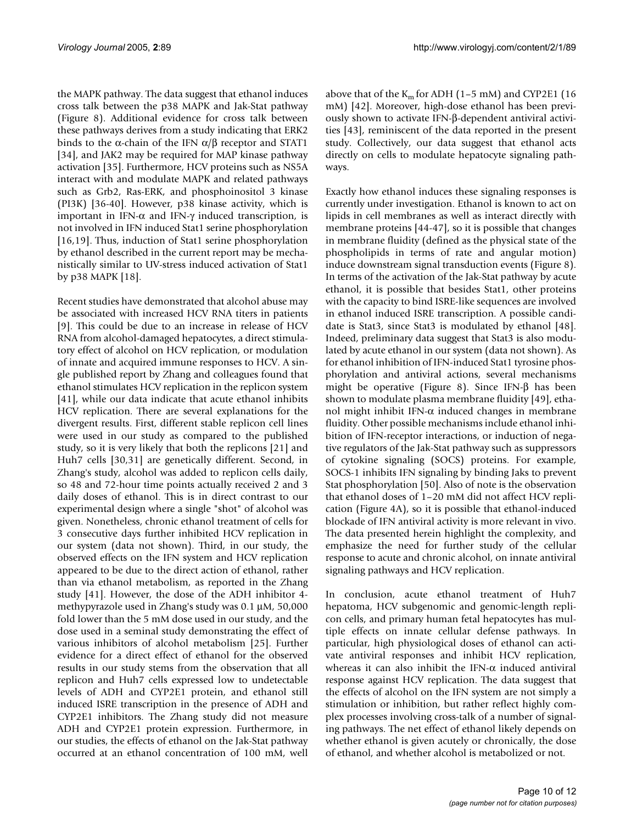the MAPK pathway. The data suggest that ethanol induces cross talk between the p38 MAPK and Jak-Stat pathway (Figure 8). Additional evidence for cross talk between these pathways derives from a study indicating that ERK2 binds to the α-chain of the IFN  $\alpha/\beta$  receptor and STAT1 [34], and JAK2 may be required for MAP kinase pathway activation [35]. Furthermore, HCV proteins such as NS5A interact with and modulate MAPK and related pathways such as Grb2, Ras-ERK, and phosphoinositol 3 kinase (PI3K) [36-40]. However, p38 kinase activity, which is important in IFN-α and IFN-γ induced transcription, is not involved in IFN induced Stat1 serine phosphorylation [16,19]. Thus, induction of Stat1 serine phosphorylation by ethanol described in the current report may be mechanistically similar to UV-stress induced activation of Stat1 by p38 MAPK [18].

Recent studies have demonstrated that alcohol abuse may be associated with increased HCV RNA titers in patients [9]. This could be due to an increase in release of HCV RNA from alcohol-damaged hepatocytes, a direct stimulatory effect of alcohol on HCV replication, or modulation of innate and acquired immune responses to HCV. A single published report by Zhang and colleagues found that ethanol stimulates HCV replication in the replicon system [41], while our data indicate that acute ethanol inhibits HCV replication. There are several explanations for the divergent results. First, different stable replicon cell lines were used in our study as compared to the published study, so it is very likely that both the replicons [21] and Huh7 cells [30,31] are genetically different. Second, in Zhang's study, alcohol was added to replicon cells daily, so 48 and 72-hour time points actually received 2 and 3 daily doses of ethanol. This is in direct contrast to our experimental design where a single "shot" of alcohol was given. Nonetheless, chronic ethanol treatment of cells for 3 consecutive days further inhibited HCV replication in our system (data not shown). Third, in our study, the observed effects on the IFN system and HCV replication appeared to be due to the direct action of ethanol, rather than via ethanol metabolism, as reported in the Zhang study [41]. However, the dose of the ADH inhibitor 4 methypyrazole used in Zhang's study was 0.1 µM, 50,000 fold lower than the 5 mM dose used in our study, and the dose used in a seminal study demonstrating the effect of various inhibitors of alcohol metabolism [25]. Further evidence for a direct effect of ethanol for the observed results in our study stems from the observation that all replicon and Huh7 cells expressed low to undetectable levels of ADH and CYP2E1 protein, and ethanol still induced ISRE transcription in the presence of ADH and CYP2E1 inhibitors. The Zhang study did not measure ADH and CYP2E1 protein expression. Furthermore, in our studies, the effects of ethanol on the Jak-Stat pathway occurred at an ethanol concentration of 100 mM, well

above that of the  $K_m$  for ADH (1–5 mM) and CYP2E1 (16 mM) [42]. Moreover, high-dose ethanol has been previously shown to activate IFN-β-dependent antiviral activities [43], reminiscent of the data reported in the present study. Collectively, our data suggest that ethanol acts directly on cells to modulate hepatocyte signaling pathways.

Exactly how ethanol induces these signaling responses is currently under investigation. Ethanol is known to act on lipids in cell membranes as well as interact directly with membrane proteins [44-47], so it is possible that changes in membrane fluidity (defined as the physical state of the phospholipids in terms of rate and angular motion) induce downstream signal transduction events (Figure 8). In terms of the activation of the Jak-Stat pathway by acute ethanol, it is possible that besides Stat1, other proteins with the capacity to bind ISRE-like sequences are involved in ethanol induced ISRE transcription. A possible candidate is Stat3, since Stat3 is modulated by ethanol [48]. Indeed, preliminary data suggest that Stat3 is also modulated by acute ethanol in our system (data not shown). As for ethanol inhibition of IFN-induced Stat1 tyrosine phosphorylation and antiviral actions, several mechanisms might be operative (Figure 8). Since IFN-β has been shown to modulate plasma membrane fluidity [49], ethanol might inhibit IFN- $α$  induced changes in membrane fluidity. Other possible mechanisms include ethanol inhibition of IFN-receptor interactions, or induction of negative regulators of the Jak-Stat pathway such as suppressors of cytokine signaling (SOCS) proteins. For example, SOCS-1 inhibits IFN signaling by binding Jaks to prevent Stat phosphorylation [50]. Also of note is the observation that ethanol doses of 1–20 mM did not affect HCV replication (Figure 4A), so it is possible that ethanol-induced blockade of IFN antiviral activity is more relevant in vivo. The data presented herein highlight the complexity, and emphasize the need for further study of the cellular response to acute and chronic alcohol, on innate antiviral signaling pathways and HCV replication.

In conclusion, acute ethanol treatment of Huh7 hepatoma, HCV subgenomic and genomic-length replicon cells, and primary human fetal hepatocytes has multiple effects on innate cellular defense pathways. In particular, high physiological doses of ethanol can activate antiviral responses and inhibit HCV replication, whereas it can also inhibit the IFN- $\alpha$  induced antiviral response against HCV replication. The data suggest that the effects of alcohol on the IFN system are not simply a stimulation or inhibition, but rather reflect highly complex processes involving cross-talk of a number of signaling pathways. The net effect of ethanol likely depends on whether ethanol is given acutely or chronically, the dose of ethanol, and whether alcohol is metabolized or not.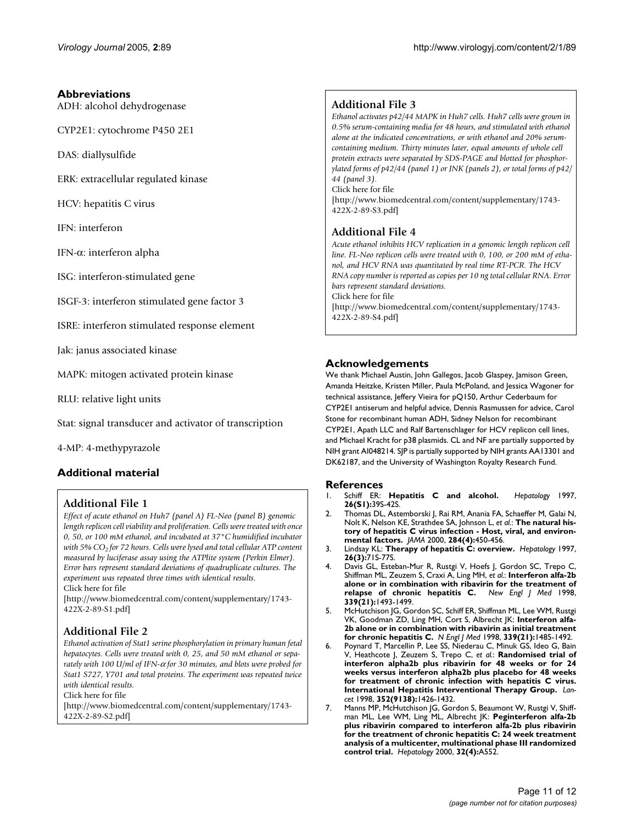## **Abbreviations**

ADH: alcohol dehydrogenase

CYP2E1: cytochrome P450 2E1

DAS: diallysulfide

ERK: extracellular regulated kinase

HCV: hepatitis C virus

IFN: interferon

IFN-α: interferon alpha

ISG: interferon-stimulated gene

ISGF-3: interferon stimulated gene factor 3

ISRE: interferon stimulated response element

Jak: janus associated kinase

MAPK: mitogen activated protein kinase

RLU: relative light units

Stat: signal transducer and activator of transcription

4-MP: 4-methypyrazole

# **Additional material**

# **Additional File 1**

*Effect of acute ethanol on Huh7 (panel A) FL-Neo (panel B) genomic length replicon cell viability and proliferation. Cells were treated with once 0, 50, or 100 mM ethanol, and incubated at 37°C humidified incubator with 5% CO<sub>2</sub> for 72 hours. Cells were lysed and total cellular ATP content measured by luciferase assay using the ATPlite system (Perkin Elmer). Error bars represent standard deviations of quadruplicate cultures. The experiment was repeated three times with identical results.* Click here for file

[\[http://www.biomedcentral.com/content/supplementary/1743-](http://www.biomedcentral.com/content/supplementary/1743-422X-2-89-S1.pdf) 422X-2-89-S1.pdf]

# **Additional File 2**

*Ethanol activation of Stat1 serine phosphorylation in primary human fetal hepatocytes. Cells were treated with 0, 25, and 50 mM ethanol or separately with 100 U/ml of IFN-*α *for 30 minutes, and blots were probed for Stat1 S727, Y701 and total proteins. The experiment was repeated twice with identical results.*

Click here for file

[\[http://www.biomedcentral.com/content/supplementary/1743-](http://www.biomedcentral.com/content/supplementary/1743-422X-2-89-S2.pdf) 422X-2-89-S2.pdf]

# **Additional File 3**

*Ethanol activates p42/44 MAPK in Huh7 cells. Huh7 cells were grown in 0.5% serum-containing media for 48 hours, and stimulated with ethanol alone at the indicated concentrations, or with ethanol and 20% serumcontaining medium. Thirty minutes later, equal amounts of whole cell protein extracts were separated by SDS-PAGE and blotted for phosphorylated forms of p42/44 (panel 1) or JNK (panels 2), or total forms of p42/ 44 (panel 3).*

Click here for file [\[http://www.biomedcentral.com/content/supplementary/1743-](http://www.biomedcentral.com/content/supplementary/1743-422X-2-89-S3.pdf) 422X-2-89-S3.pdf]

# **Additional File 4**

*Acute ethanol inhibits HCV replication in a genomic length replicon cell line. FL-Neo replicon cells were treated with 0, 100, or 200 mM of ethanol, and HCV RNA was quantitated by real time RT-PCR. The HCV RNA copy number is reported as copies per 10 ng total cellular RNA. Error bars represent standard deviations.*

Click here for file

[\[http://www.biomedcentral.com/content/supplementary/1743-](http://www.biomedcentral.com/content/supplementary/1743-422X-2-89-S4.pdf) 422X-2-89-S4.pdf]

## **Acknowledgements**

We thank Michael Austin, John Gallegos, Jacob Glaspey, Jamison Green, Amanda Heitzke, Kristen Miller, Paula McPoland, and Jessica Wagoner for technical assistance, Jeffery Vieira for pQ150, Arthur Cederbaum for CYP2E1 antiserum and helpful advice, Dennis Rasmussen for advice, Carol Stone for recombinant human ADH, Sidney Nelson for recombinant CYP2E1, Apath LLC and Ralf Bartenschlager for HCV replicon cell lines, and Michael Kracht for p38 plasmids. CL and NF are partially supported by NIH grant AI048214. SJP is partially supported by NIH grants AA13301 and DK62187, and the University of Washington Royalty Research Fund.

## **References**

- 1. Schiff ER: **Hepatitis C and alcohol.** *Hepatology* 1997, **26(S1):**39S-42S.
- 2. Thomas DL, Astemborski J, Rai RM, Anania FA, Schaeffer M, Galai N, Nolt K, Nelson KE, Strathdee SA, Johnson L, *et al.*: **[The natural his](http://www.ncbi.nlm.nih.gov/entrez/query.fcgi?cmd=Retrieve&db=PubMed&dopt=Abstract&list_uids=10904508)[tory of hepatitis C virus infection - Host, viral, and environ](http://www.ncbi.nlm.nih.gov/entrez/query.fcgi?cmd=Retrieve&db=PubMed&dopt=Abstract&list_uids=10904508)[mental factors.](http://www.ncbi.nlm.nih.gov/entrez/query.fcgi?cmd=Retrieve&db=PubMed&dopt=Abstract&list_uids=10904508)** *JAMA* 2000, **284(4):**450-456.
- 3. Lindsay KL: **[Therapy of hepatitis C: overview.](http://www.ncbi.nlm.nih.gov/entrez/query.fcgi?cmd=Retrieve&db=PubMed&dopt=Abstract&list_uids=9305668)** *Hepatology* 1997, **26(3):**71S-77S.
- 4. Davis GL, Esteban-Mur R, Rustgi V, Hoefs J, Gordon SC, Trepo C, Shiffman ML, Zeuzem S, Craxi A, Ling MH, *et al.*: **[Interferon alfa-2b](http://www.ncbi.nlm.nih.gov/entrez/query.fcgi?cmd=Retrieve&db=PubMed&dopt=Abstract&list_uids=9819447) [alone or in combination with ribavirin for the treatment of](http://www.ncbi.nlm.nih.gov/entrez/query.fcgi?cmd=Retrieve&db=PubMed&dopt=Abstract&list_uids=9819447) [relapse of chronic hepatitis C.](http://www.ncbi.nlm.nih.gov/entrez/query.fcgi?cmd=Retrieve&db=PubMed&dopt=Abstract&list_uids=9819447)** *New Engl J Med* 1998, **339(21):**1493-1499.
- 5. McHutchison JG, Gordon SC, Schiff ER, Shiffman ML, Lee WM, Rustgi VK, Goodman ZD, Ling MH, Cort S, Albrecht JK: **[Interferon alfa-](http://www.ncbi.nlm.nih.gov/entrez/query.fcgi?cmd=Retrieve&db=PubMed&dopt=Abstract&list_uids=9819446)[2b alone or in combination with ribavirin as initial treatment](http://www.ncbi.nlm.nih.gov/entrez/query.fcgi?cmd=Retrieve&db=PubMed&dopt=Abstract&list_uids=9819446) [for chronic hepatitis C.](http://www.ncbi.nlm.nih.gov/entrez/query.fcgi?cmd=Retrieve&db=PubMed&dopt=Abstract&list_uids=9819446)** *N Engl J Med* 1998, **339(21):**1485-1492.
- 6. Poynard T, Marcellin P, Lee SS, Niederau C, Minuk GS, Ideo G, Bain V, Heathcote J, Zeuzem S, Trepo C, *et al.*: **[Randomised trial of](http://www.ncbi.nlm.nih.gov/entrez/query.fcgi?cmd=Retrieve&db=PubMed&dopt=Abstract&list_uids=9807989) interferon alpha2b plus ribavirin for 48 weeks or for 24 [weeks versus interferon alpha2b plus placebo for 48 weeks](http://www.ncbi.nlm.nih.gov/entrez/query.fcgi?cmd=Retrieve&db=PubMed&dopt=Abstract&list_uids=9807989) for treatment of chronic infection with hepatitis C virus. [International Hepatitis Interventional Therapy Group.](http://www.ncbi.nlm.nih.gov/entrez/query.fcgi?cmd=Retrieve&db=PubMed&dopt=Abstract&list_uids=9807989)** *Lancet* 1998, **352(9138):**1426-1432.
- 7. Manns MP, McHutchison JG, Gordon S, Beaumont W, Rustgi V, Shiffman ML, Lee WM, Ling ML, Albrecht JK: **Peginterferon alfa-2b plus ribavirin compared to interferon alfa-2b plus ribavirin for the treatment of chronic hepatitis C: 24 week treatment analysis of a multicenter, multinational phase III randomized control trial.** *Hepatology* 2000, **32(4):**A552.